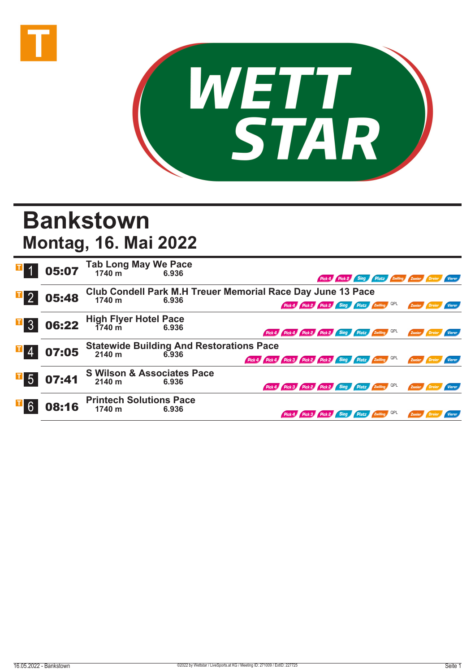



## **Bankstown Montag, 16. Mai 2022**

|                  |       | <b>05:07</b> Tab Long May We Pace                                  | Pick 4 Pick 2 Sieg Platz Zwilling Zweier Dreier Vierer                  |  |  |  |  |  |
|------------------|-------|--------------------------------------------------------------------|-------------------------------------------------------------------------|--|--|--|--|--|
| $\mathbb{F}_2$   | 05:48 | Club Condell Park M.H Treuer Memorial Race Day June 13 Pace        |                                                                         |  |  |  |  |  |
|                  |       | 1740 m<br>6.936                                                    | Pick 4 Pick 2 Pick 2 Sieg Platz Zwilling QPL<br>Zweier Dreier<br>Vierer |  |  |  |  |  |
| $\Box$ 3         |       | <b>06:22</b> High Flyer Hotel Pace<br>6.936 6.936                  | Pick 4 Pick 4 Pick 2 Pick 2 Sieg Platz Zwilling QPL<br>Zweier Dreier    |  |  |  |  |  |
| $\mathbb{E}$ 4   | 07:05 | <b>Statewide Building And Restorations Pace</b><br>2140 m<br>6.936 | Pick 4 Pick 4 Pick 3 Pick 2 Pick 2 Sieg Platz Zwilling QPL<br>Zweier    |  |  |  |  |  |
| $\overline{1}$ 5 | 07:41 | <b>S Wilson &amp; Associates Pace</b><br>2140 m<br>6.936           | Pick 4 Pick 3 Pick 2 Pick 2 Sieg Platz 2willing QPL<br>Zweier Dreier    |  |  |  |  |  |
|                  | 08:16 | <b>Printech Solutions Pace</b><br>1740 m<br>6.936                  | Pick 4 Pick 3 Pick 2 Sieg Platz Zwilling QPL                            |  |  |  |  |  |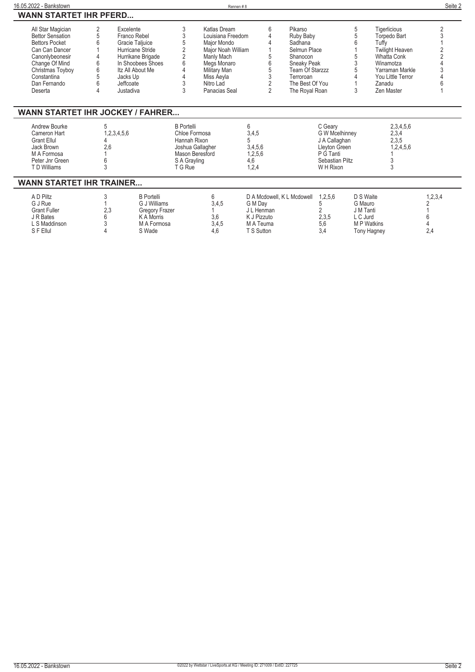| 16.05.2022 - Bankstown                                                                                                                                                          |                       |                                                                                                                                                                      |                                                                               | Rennen#8                                                                                                                                                               |                                                                 |                                       |                                                                                                                               |                                                                                                                 |                                                                                          |                                                                                                                                                                    | Seite 2                     |
|---------------------------------------------------------------------------------------------------------------------------------------------------------------------------------|-----------------------|----------------------------------------------------------------------------------------------------------------------------------------------------------------------|-------------------------------------------------------------------------------|------------------------------------------------------------------------------------------------------------------------------------------------------------------------|-----------------------------------------------------------------|---------------------------------------|-------------------------------------------------------------------------------------------------------------------------------|-----------------------------------------------------------------------------------------------------------------|------------------------------------------------------------------------------------------|--------------------------------------------------------------------------------------------------------------------------------------------------------------------|-----------------------------|
| <b>WANN STARTET IHR PFERD</b>                                                                                                                                                   |                       |                                                                                                                                                                      |                                                                               |                                                                                                                                                                        |                                                                 |                                       |                                                                                                                               |                                                                                                                 |                                                                                          |                                                                                                                                                                    |                             |
| All Star Magician<br><b>Bettor Sensation</b><br><b>Bettors Pocket</b><br>Can Can Dancer<br>Canonlybeonesir<br>Change Of Mind<br>Christmas Toyboy<br>Constantina<br>Dan Fernando | 2<br>5<br>6<br>6<br>6 | Excelente<br>Franco Rebel<br>Gracie Taljuice<br>Hurricane Stride<br>Hurrikane Brigade<br>In Shoobees Shoes<br>Itz All About Me<br>Jacks Up<br>Jeffcoate<br>Justadiva | 3<br>3                                                                        | Katlas Dream<br>Louisiana Freedom<br>Maior Mondo<br>Major Noah William<br>Manly Mach<br>Megs Monaro<br><b>Military Man</b><br>Miss Aeyla<br>Nitro Lad<br>Panacias Seal |                                                                 | 6<br>$\overline{2}$<br>$\overline{2}$ | Pikarso<br>Ruby Baby<br>Sadhana<br>Selmun Place<br>Shanocon<br>Sneaky Peak<br>Team Of Starzzz<br>Terroroan<br>The Best Of You |                                                                                                                 | 5<br>3                                                                                   | Tigerlicious<br><b>Torpedo Bart</b><br>Tuffy<br><b>Twilight Heaven</b><br>Whatta Conk<br>Winamotza<br>Yarraman Markle<br>You Little Terror<br>Zanadu<br>Zen Master |                             |
| Deserta<br><b>WANN STARTET IHR JOCKEY / FAHRER</b><br>Andrew Bourke<br>Cameron Hart<br><b>Grant Ellul</b><br>Jack Brown<br>M A Formosa<br>Peter Jnr Green<br>T D Williams       | 5<br>2,6<br>3         | 1,2,3,4,5,6                                                                                                                                                          | <b>B</b> Portelli<br>Chloe Formosa<br>Hannah Rixon<br>S A Grayling<br>T G Rue | Joshua Gallagher<br>Mason Beresford                                                                                                                                    | 6<br>3,4,5<br>5<br>3,4,5,6<br>1,2,5,6<br>4,6<br>1,2,4           |                                       | The Royal Roan                                                                                                                | C Geary<br><b>G W Mcelhinney</b><br>J A Callaghan<br>Lleyton Green<br>P G Tanti<br>Sebastian Piltz<br>W H Rixon |                                                                                          | 2,3,4,5,6<br>2,3,4<br>2,3,5<br>1,2,4,5,6                                                                                                                           |                             |
| <b>WANN STARTET IHR TRAINER</b>                                                                                                                                                 |                       |                                                                                                                                                                      |                                                                               |                                                                                                                                                                        |                                                                 |                                       |                                                                                                                               |                                                                                                                 |                                                                                          |                                                                                                                                                                    |                             |
| A D Piltz<br>G J Rue<br><b>Grant Fuller</b><br>J R Bates<br>L S Maddinson<br>S F Ellul                                                                                          | 2,3                   | <b>B</b> Portelli<br>G J Williams<br><b>Gregory Frazer</b><br><b>K A Morris</b><br>M A Formosa<br>S Wade                                                             |                                                                               | 6<br>3,4,5<br>3.6<br>3,4,5<br>4.6                                                                                                                                      | G M Day<br>J L Henman<br>K J Pizzuto<br>M A Teuma<br>T S Sutton |                                       | D A Mcdowell, K L Mcdowell                                                                                                    | 1,2,5,6<br>5<br>2,3,5<br>5.6<br>3.4                                                                             | D S Waite<br>G Mauro<br>J M Tanti<br>L C Jurd<br><b>MP</b> Watkins<br><b>Tony Hagney</b> |                                                                                                                                                                    | 1, 2, 3, 4<br>2<br>6<br>2,4 |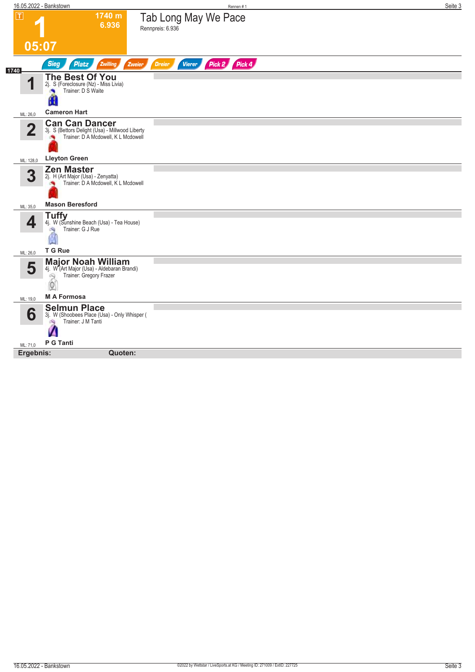|                | 16.05.2022 - Bankstown                                                                                                    | Rennen #1                                       | Seite 3 |
|----------------|---------------------------------------------------------------------------------------------------------------------------|-------------------------------------------------|---------|
| $ \mathsf{T} $ | 1740 m<br>6.936                                                                                                           | Tab Long May We Pace<br>Rennpreis: 6.936        |         |
| 05:07          |                                                                                                                           |                                                 |         |
| 1740           | <b>Sieg</b><br>Zwilling<br><b>Platz</b><br>Zweier                                                                         | Pick 2 Pick 4<br><b>Dreier</b><br><b>Vierer</b> |         |
| и              | The Best Of You<br>2j. S (Foreclosure (Nz) - Miss Livia)<br>Trainer: D S Waite                                            |                                                 |         |
| ML: 26,0       | <b>Cameron Hart</b>                                                                                                       |                                                 |         |
| $\mathbf 2$    | <b>Can Can Dancer</b><br>3j. S (Bettors Delight (Usa) - Millwood Liberty<br>Trainer: D A Mcdowell, K L Mcdowell           |                                                 |         |
| ML: 128,0      | <b>Lleyton Green</b>                                                                                                      |                                                 |         |
| 3              | <b>Zen Master</b><br>2j. H (Art Major (Usa) - Zenyatta)<br>Trainer: D A Mcdowell, K L Mcdowell                            |                                                 |         |
| ML: 35,0       | <b>Mason Beresford</b>                                                                                                    |                                                 |         |
| 4              | <b>Tuffy</b><br>4j. W (Sunshine Beach (Usa) - Tea House)<br>Trainer: G J Rue<br>ंचे                                       |                                                 |         |
| ML: 26,0       | T G Rue                                                                                                                   |                                                 |         |
| 5              | <b>Major Noah William</b><br>4j. W (Art Major (Usa) - Aldebaran Brandi)<br>Trainer: Gregory Frazer<br>2<br>$\circledcirc$ |                                                 |         |
| ML: 19,0       | <b>MA Formosa</b>                                                                                                         |                                                 |         |
| 6              | <b>Selmun Place</b><br>3j. W (Shoobees Place (Usa) - Only Whisper (<br>Trainer: J M Tanti                                 |                                                 |         |
| ML: 71,0       | P G Tanti                                                                                                                 |                                                 |         |
| Ergebnis:      | Quoten:                                                                                                                   |                                                 |         |
|                |                                                                                                                           |                                                 |         |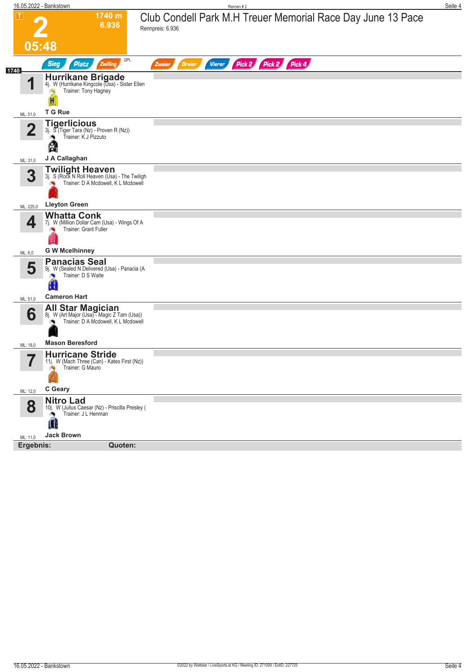|                         | 16.05.2022 - Bankstown                                                                                 |                                     | Rennen #2                                                                       | Seite 4 |
|-------------------------|--------------------------------------------------------------------------------------------------------|-------------------------------------|---------------------------------------------------------------------------------|---------|
| $\blacksquare$          |                                                                                                        | 1740 m<br>6.936                     | Club Condell Park M.H Treuer Memorial Race Day June 13 Pace<br>Rennpreis: 6.936 |         |
|                         | 05:48                                                                                                  |                                     |                                                                                 |         |
|                         | <b>Sieg</b><br><b>Platz</b>                                                                            | QPL<br>Zwilling                     | Pick 2 Pick 2 Pick 4<br><b>Dreier</b><br><b>Vierer</b><br>Zweier                |         |
| 1740<br>И               | Hurrikane Brigade<br>4j. W (Hurrikane Kingcole (Usa) - Sister Ellen<br>Trainer: Tony Hagney<br>H       |                                     |                                                                                 |         |
| ML: 51,0                | T G Rue                                                                                                |                                     |                                                                                 |         |
| $\overline{\mathbf{2}}$ | <b>Tigerlicious</b><br>3j. S'(Tiger Tara (Nz) - Proven R (Nz))<br>Trainer: K J Pizzuto<br>۸<br>않       |                                     |                                                                                 |         |
| ML: 31,0                | J A Callaghan                                                                                          |                                     |                                                                                 |         |
| 3                       | <b>Twilight Heaven</b><br>3j. S (Rock N Roll Heaven (Usa) - The Twiligh                                | Trainer: D A Mcdowell, K L Mcdowell |                                                                                 |         |
| ML: 225,0               | <b>Lleyton Green</b>                                                                                   |                                     |                                                                                 |         |
| 4                       | <b>Whatta Conk</b><br>7j. W (Million Dollar Cam (Usa) - Wings Of A<br>Trainer: Grant Fuller            |                                     |                                                                                 |         |
| ML: 6,0                 | <b>G W Mcelhinney</b>                                                                                  |                                     |                                                                                 |         |
| 5                       | <b>Panacias Seal</b><br>9j. W (Sealed N Delivered (Usa) - Panacia (A<br>Trainer: D S Waite<br>г.       |                                     |                                                                                 |         |
| ML: 51,0                | <b>Cameron Hart</b>                                                                                    |                                     |                                                                                 |         |
| 6                       | All Star Magician<br>8j. W (Art Major (Usa) - Magic Z Tam (Usa))<br><b>Mason Beresford</b>             | Trainer: D A Mcdowell, K L Mcdowell |                                                                                 |         |
| ML: 18,0                | <b>Hurricane Stride</b>                                                                                |                                     |                                                                                 |         |
|                         | 11j. W (Mach Three (Can) - Kates First (Nz))<br>Trainer: G Mauro                                       |                                     |                                                                                 |         |
| ML: 12,0                | C Geary                                                                                                |                                     |                                                                                 |         |
| 8                       | <b>Nitro Lad</b><br>10j. W (Julius Caesar (Nz) - Priscilla Presley (<br>Trainer: J L Henman<br>۸<br>Ш. |                                     |                                                                                 |         |
| ML: 11,0                | <b>Jack Brown</b>                                                                                      |                                     |                                                                                 |         |
| Ergebnis:               |                                                                                                        | Quoten:                             |                                                                                 |         |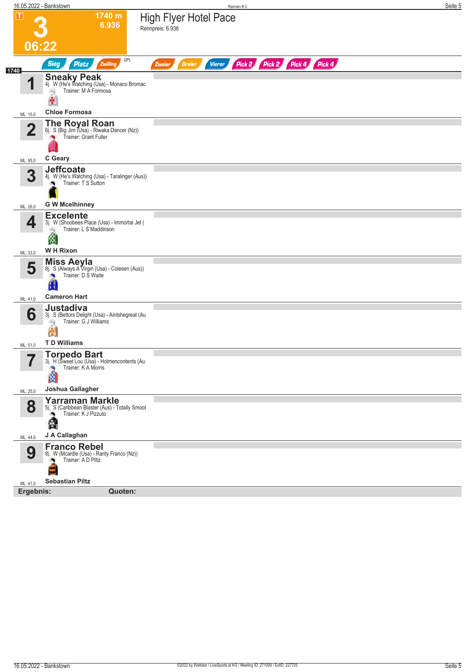| $ \tau $<br>1740 m<br><b>High Flyer Hotel Pace</b><br>6.936<br>Rennpreis: 6.936<br>06:22<br>QPL<br>Pick 2 Pick 2 Pick 4 Pick 4<br><b>Sieg</b><br>Zwilling<br>Vierer<br><b>Platz</b><br><b>Dreier</b><br>Zweier<br><b>Sneaky Peak</b><br>4j. W (He's Watching (Usa) - Monaco Bromac<br>И<br>Trainer: M A Formosa<br>Q<br>廣<br><b>Chloe Formosa</b><br>ML: 15,0<br><b>The Royal Roan</b><br>6j. S (Big Jim (Usa) - Riwaka Dancer (Nz))<br>$\mathbf 2$<br>Trainer: Grant Fuller<br>C Geary<br>ML: 95,0<br><b>Jeffcoate</b><br>3<br>4j. W (He's Watching (Usa) - Taralinger (Aus))<br>Trainer: T S Sutton<br><b>G W Mcelhinney</b><br>ML: 26,0<br><b>Excelente</b><br>4<br>3j. W (Shoobees Place (Usa) - Immortal Jet (<br>Trainer: L S Maddinson<br>ÓQ.<br>Ø<br>W H Rixon<br>ML: 33,0<br><b>Miss Aeyla</b><br>5<br>8j. S (Always A Virgin (Usa) - Colesen (Aus))<br>Trainer: D S Waite<br><b>Cameron Hart</b><br>ML: 41,0<br>Justadiva<br>6<br>3j. S (Bettors Delight (Usa) - Aintshegreat (Au<br>Trainer: G J Williams<br>Q<br>氥<br><b>TD Williams</b><br>ML: 51,0<br><b>Torpedo Bart</b><br>5<br>3j. H (Sweet Lou (Usa) - Holmencontents (Au<br>ı<br>Trainer: K A Morris<br>۰Ŋ<br>۵<br>Joshua Gallagher<br>ML: 25,0<br><b>Yarraman Markle</b><br>8<br>5j. S (Caribbean Blaster (Aus) - Totally Smoot<br>Trainer: K J Pizzuto<br>A<br>J A Callaghan<br>ML: 44,0<br><b>Franco Rebel</b><br>9<br>8j. W (Mcardle (Usa) - Rarity Franco (Nz))<br>Trainer: A D Piltz<br>٠<br><b>Sebastian Piltz</b><br>ML: 41,0<br>Quoten:<br>Ergebnis: |      | 16.05.2022 - Bankstown | Rennen#3 | Seite 5 |
|----------------------------------------------------------------------------------------------------------------------------------------------------------------------------------------------------------------------------------------------------------------------------------------------------------------------------------------------------------------------------------------------------------------------------------------------------------------------------------------------------------------------------------------------------------------------------------------------------------------------------------------------------------------------------------------------------------------------------------------------------------------------------------------------------------------------------------------------------------------------------------------------------------------------------------------------------------------------------------------------------------------------------------------------------------------------------------------------------------------------------------------------------------------------------------------------------------------------------------------------------------------------------------------------------------------------------------------------------------------------------------------------------------------------------------------------------------------------------------------------------------------------------------|------|------------------------|----------|---------|
|                                                                                                                                                                                                                                                                                                                                                                                                                                                                                                                                                                                                                                                                                                                                                                                                                                                                                                                                                                                                                                                                                                                                                                                                                                                                                                                                                                                                                                                                                                                                  |      |                        |          |         |
|                                                                                                                                                                                                                                                                                                                                                                                                                                                                                                                                                                                                                                                                                                                                                                                                                                                                                                                                                                                                                                                                                                                                                                                                                                                                                                                                                                                                                                                                                                                                  |      |                        |          |         |
|                                                                                                                                                                                                                                                                                                                                                                                                                                                                                                                                                                                                                                                                                                                                                                                                                                                                                                                                                                                                                                                                                                                                                                                                                                                                                                                                                                                                                                                                                                                                  |      |                        |          |         |
|                                                                                                                                                                                                                                                                                                                                                                                                                                                                                                                                                                                                                                                                                                                                                                                                                                                                                                                                                                                                                                                                                                                                                                                                                                                                                                                                                                                                                                                                                                                                  |      |                        |          |         |
|                                                                                                                                                                                                                                                                                                                                                                                                                                                                                                                                                                                                                                                                                                                                                                                                                                                                                                                                                                                                                                                                                                                                                                                                                                                                                                                                                                                                                                                                                                                                  | 1740 |                        |          |         |
|                                                                                                                                                                                                                                                                                                                                                                                                                                                                                                                                                                                                                                                                                                                                                                                                                                                                                                                                                                                                                                                                                                                                                                                                                                                                                                                                                                                                                                                                                                                                  |      |                        |          |         |
|                                                                                                                                                                                                                                                                                                                                                                                                                                                                                                                                                                                                                                                                                                                                                                                                                                                                                                                                                                                                                                                                                                                                                                                                                                                                                                                                                                                                                                                                                                                                  |      |                        |          |         |
|                                                                                                                                                                                                                                                                                                                                                                                                                                                                                                                                                                                                                                                                                                                                                                                                                                                                                                                                                                                                                                                                                                                                                                                                                                                                                                                                                                                                                                                                                                                                  |      |                        |          |         |
|                                                                                                                                                                                                                                                                                                                                                                                                                                                                                                                                                                                                                                                                                                                                                                                                                                                                                                                                                                                                                                                                                                                                                                                                                                                                                                                                                                                                                                                                                                                                  |      |                        |          |         |
|                                                                                                                                                                                                                                                                                                                                                                                                                                                                                                                                                                                                                                                                                                                                                                                                                                                                                                                                                                                                                                                                                                                                                                                                                                                                                                                                                                                                                                                                                                                                  |      |                        |          |         |
|                                                                                                                                                                                                                                                                                                                                                                                                                                                                                                                                                                                                                                                                                                                                                                                                                                                                                                                                                                                                                                                                                                                                                                                                                                                                                                                                                                                                                                                                                                                                  |      |                        |          |         |
|                                                                                                                                                                                                                                                                                                                                                                                                                                                                                                                                                                                                                                                                                                                                                                                                                                                                                                                                                                                                                                                                                                                                                                                                                                                                                                                                                                                                                                                                                                                                  |      |                        |          |         |
|                                                                                                                                                                                                                                                                                                                                                                                                                                                                                                                                                                                                                                                                                                                                                                                                                                                                                                                                                                                                                                                                                                                                                                                                                                                                                                                                                                                                                                                                                                                                  |      |                        |          |         |
|                                                                                                                                                                                                                                                                                                                                                                                                                                                                                                                                                                                                                                                                                                                                                                                                                                                                                                                                                                                                                                                                                                                                                                                                                                                                                                                                                                                                                                                                                                                                  |      |                        |          |         |
|                                                                                                                                                                                                                                                                                                                                                                                                                                                                                                                                                                                                                                                                                                                                                                                                                                                                                                                                                                                                                                                                                                                                                                                                                                                                                                                                                                                                                                                                                                                                  |      |                        |          |         |
|                                                                                                                                                                                                                                                                                                                                                                                                                                                                                                                                                                                                                                                                                                                                                                                                                                                                                                                                                                                                                                                                                                                                                                                                                                                                                                                                                                                                                                                                                                                                  |      |                        |          |         |
|                                                                                                                                                                                                                                                                                                                                                                                                                                                                                                                                                                                                                                                                                                                                                                                                                                                                                                                                                                                                                                                                                                                                                                                                                                                                                                                                                                                                                                                                                                                                  |      |                        |          |         |
|                                                                                                                                                                                                                                                                                                                                                                                                                                                                                                                                                                                                                                                                                                                                                                                                                                                                                                                                                                                                                                                                                                                                                                                                                                                                                                                                                                                                                                                                                                                                  |      |                        |          |         |
|                                                                                                                                                                                                                                                                                                                                                                                                                                                                                                                                                                                                                                                                                                                                                                                                                                                                                                                                                                                                                                                                                                                                                                                                                                                                                                                                                                                                                                                                                                                                  |      |                        |          |         |
|                                                                                                                                                                                                                                                                                                                                                                                                                                                                                                                                                                                                                                                                                                                                                                                                                                                                                                                                                                                                                                                                                                                                                                                                                                                                                                                                                                                                                                                                                                                                  |      |                        |          |         |
|                                                                                                                                                                                                                                                                                                                                                                                                                                                                                                                                                                                                                                                                                                                                                                                                                                                                                                                                                                                                                                                                                                                                                                                                                                                                                                                                                                                                                                                                                                                                  |      |                        |          |         |
|                                                                                                                                                                                                                                                                                                                                                                                                                                                                                                                                                                                                                                                                                                                                                                                                                                                                                                                                                                                                                                                                                                                                                                                                                                                                                                                                                                                                                                                                                                                                  |      |                        |          |         |
|                                                                                                                                                                                                                                                                                                                                                                                                                                                                                                                                                                                                                                                                                                                                                                                                                                                                                                                                                                                                                                                                                                                                                                                                                                                                                                                                                                                                                                                                                                                                  |      |                        |          |         |
|                                                                                                                                                                                                                                                                                                                                                                                                                                                                                                                                                                                                                                                                                                                                                                                                                                                                                                                                                                                                                                                                                                                                                                                                                                                                                                                                                                                                                                                                                                                                  |      |                        |          |         |
|                                                                                                                                                                                                                                                                                                                                                                                                                                                                                                                                                                                                                                                                                                                                                                                                                                                                                                                                                                                                                                                                                                                                                                                                                                                                                                                                                                                                                                                                                                                                  |      |                        |          |         |
|                                                                                                                                                                                                                                                                                                                                                                                                                                                                                                                                                                                                                                                                                                                                                                                                                                                                                                                                                                                                                                                                                                                                                                                                                                                                                                                                                                                                                                                                                                                                  |      |                        |          |         |
|                                                                                                                                                                                                                                                                                                                                                                                                                                                                                                                                                                                                                                                                                                                                                                                                                                                                                                                                                                                                                                                                                                                                                                                                                                                                                                                                                                                                                                                                                                                                  |      |                        |          |         |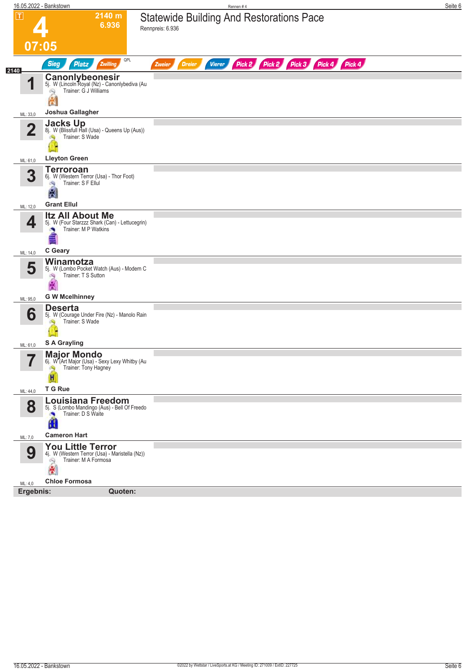|                         | 16.05.2022 - Bankstown                                                                                            | Rennen #4                                                                            | Seite 6 |
|-------------------------|-------------------------------------------------------------------------------------------------------------------|--------------------------------------------------------------------------------------|---------|
| $\overline{\mathsf{T}}$ | 2140 m<br>6.936                                                                                                   | <b>Statewide Building And Restorations Pace</b><br>Rennpreis: 6.936                  |         |
| 07:05                   |                                                                                                                   |                                                                                      |         |
| 2140                    | QPL<br><b>Sieg</b><br><b>Platz</b><br>Zwilling                                                                    | Pick 2 Pick 3<br>Pick 4 Pick 4<br>Pick 2<br><b>Vierer</b><br><b>Dreier</b><br>Zweier |         |
| 1                       | Canonlybeonesir<br>5j. W (Lincoln Royal (Nz) - Canonlybediva (Au<br>Trainer: G J Williams<br>Q<br>创               |                                                                                      |         |
| ML: 33,0                | Joshua Gallagher                                                                                                  |                                                                                      |         |
| $\overline{2}$          | Jacks Up (Blissfull Hall (Usa) - Queens Up (Aus))<br>Trainer: S Wade                                              |                                                                                      |         |
| ML: 61,0                | <b>Lleyton Green</b>                                                                                              |                                                                                      |         |
| 3                       | <b>Terroroan</b><br>6j. W (Western Terror (Usa) - Thor Foot)<br>Trainer: S F Ellul<br>鸿<br>图                      |                                                                                      |         |
| ML: 12,0                | <b>Grant Ellul</b>                                                                                                |                                                                                      |         |
| 4                       | <b>Itz All About Me</b><br>5j. W (Four Starzzz Shark (Can) - Lettucegrin)<br>Trainer: M P Watkins                 |                                                                                      |         |
| ML: 14,0                | C Geary                                                                                                           |                                                                                      |         |
| 5                       | Winamotza<br>5j. W (Lombo Pocket Watch (Aus) - Modern C<br>Trainer: T S Sutton<br>殉<br>剐<br><b>G W Mcelhinney</b> |                                                                                      |         |
| ML: 95,0                | <b>Deserta</b>                                                                                                    |                                                                                      |         |
| 6                       | 5j. W (Courage Under Fire (Nz) - Manolo Rain<br>Trainer: S Wade                                                   |                                                                                      |         |
| ML: 61,0                | S A Grayling                                                                                                      |                                                                                      |         |
| -7                      | <b>Major Mondo</b><br>6j. W (Art Major (Usa) - Sexy Lexy Whitby (Au<br>Trainer: Tony Hagney<br>S)<br>H            |                                                                                      |         |
| ML: 44,0                | T G Rue                                                                                                           |                                                                                      |         |
| 8                       | <b>Louisiana Freedom</b><br>5j. S (Lombo Mandingo (Aus) - Bell Of Freedo<br>Ű                                     |                                                                                      |         |
| ML: 7,0                 | <b>Cameron Hart</b>                                                                                               |                                                                                      |         |
| 9                       | <b>You Little Terror</b><br>4j. W (Western Terror (Usa) - Maristella (Nz))<br>Trainer: M A Formosa<br>合           |                                                                                      |         |
| ML: 4,0                 | <b>Chloe Formosa</b>                                                                                              |                                                                                      |         |
| Ergebnis:               | <b>Quoten:</b>                                                                                                    |                                                                                      |         |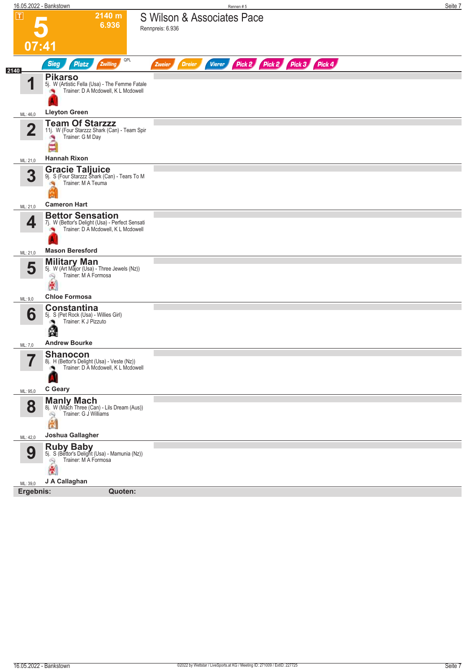|                | 16.05.2022 - Bankstown                                                                                            | Rennen #5                                                               | Seite 7 |
|----------------|-------------------------------------------------------------------------------------------------------------------|-------------------------------------------------------------------------|---------|
| $ \mathbf{T} $ | 2140 m<br>6.936                                                                                                   | S Wilson & Associates Pace<br>Rennpreis: 6.936                          |         |
|                | 07:41                                                                                                             |                                                                         |         |
| 2140           | QPL<br><b>Sieg</b><br>Zwilling<br><b>Platz</b>                                                                    | Pick 2 Pick 2 Pick 3 Pick 4<br><b>Dreier</b><br><b>Vierer</b><br>Zweier |         |
| 1              | <b>Pikarso</b><br>5j. W (Artistic Fella (Usa) - The Femme Fatale<br>Trainer: D A Mcdowell, K L Mcdowell           |                                                                         |         |
| ML: 46,0       | <b>Lleyton Green</b>                                                                                              |                                                                         |         |
| $\overline{2}$ | <b>Team Of Starzzz</b><br>11j. W (Four Starzzz Shark (Can) - Team Spir<br>Trainer: G M Day<br>×<br>≣              |                                                                         |         |
| ML: 21,0       | <b>Hannah Rixon</b>                                                                                               |                                                                         |         |
| 3              | <b>Gracie Taljuice</b><br>9j. S (Four Starzzz Shark (Can) - Tears To M<br>Trainer: M A Teuma                      |                                                                         |         |
| ML: 21,0       | <b>Cameron Hart</b>                                                                                               |                                                                         |         |
| 4              | <b>Bettor Sensation</b><br>7j. W (Bettor's Delight (Usa) - Perfect Sensati<br>Trainer: D A Mcdowell, K L Mcdowell |                                                                         |         |
| ML: 21,0       | <b>Mason Beresford</b>                                                                                            |                                                                         |         |
| 5              | <b>Military Man</b><br>5j. W (Art Major (Usa) - Three Jewels (Nz))<br>Trainer: M A Formosa<br>高                   |                                                                         |         |
| ML: 9,0        | <b>Chloe Formosa</b>                                                                                              |                                                                         |         |
| 6              | <b>Constantina</b><br>5j. S (Pet Rock (Usa) - Willies Girl)<br>Trainer: K J Pizzuto<br>Ł.                         |                                                                         |         |
| ML: 7,0        | <b>Andrew Bourke</b>                                                                                              |                                                                         |         |
| 7<br>ı         | <b>Shanocon</b><br>8j. H (Bettor's Delight (Usa) - Veste (Nz))<br>Trainer: D A Mcdowell, K L Mcdowell             |                                                                         |         |
| ML: 95,0       | C Geary                                                                                                           |                                                                         |         |
| 8              | <b>Manly Mach</b><br>8j. W (Mach Three (Can) - Lils Dream (Aus))<br>Trainer: G J Williams<br>高                    |                                                                         |         |
| ML: 42,0       | Joshua Gallagher                                                                                                  |                                                                         |         |
| 9              | Ruby Baby<br>5j. S (Bettor's Delight (Usa) - Mamunia (Nz))<br>Trainer: MA Formosa<br>Q<br>倒                       |                                                                         |         |
| ML: 39,0       | J A Callaghan<br>Ergebnis:<br>Quoten:                                                                             |                                                                         |         |